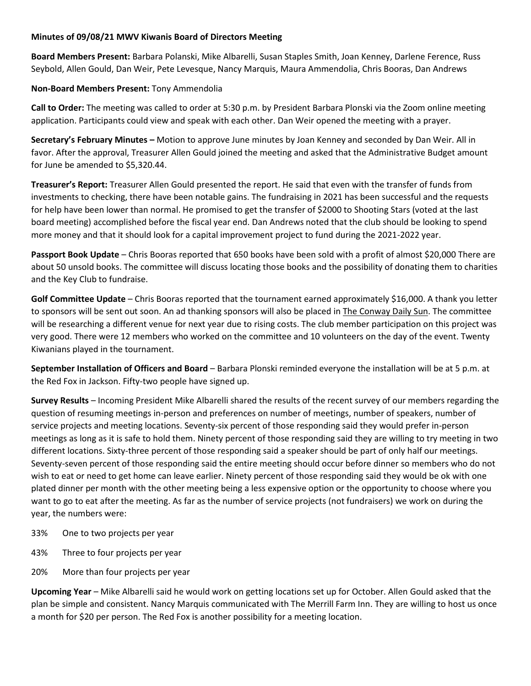# **Minutes of 09/08/21 MWV Kiwanis Board of Directors Meeting**

**Board Members Present:** Barbara Polanski, Mike Albarelli, Susan Staples Smith, Joan Kenney, Darlene Ference, Russ Seybold, Allen Gould, Dan Weir, Pete Levesque, Nancy Marquis, Maura Ammendolia, Chris Booras, Dan Andrews

# **Non-Board Members Present:** Tony Ammendolia

**Call to Order:** The meeting was called to order at 5:30 p.m. by President Barbara Plonski via the Zoom online meeting application. Participants could view and speak with each other. Dan Weir opened the meeting with a prayer.

**Secretary's February Minutes –** Motion to approve June minutes by Joan Kenney and seconded by Dan Weir. All in favor. After the approval, Treasurer Allen Gould joined the meeting and asked that the Administrative Budget amount for June be amended to \$5,320.44.

**Treasurer's Report:** Treasurer Allen Gould presented the report. He said that even with the transfer of funds from investments to checking, there have been notable gains. The fundraising in 2021 has been successful and the requests for help have been lower than normal. He promised to get the transfer of \$2000 to Shooting Stars (voted at the last board meeting) accomplished before the fiscal year end. Dan Andrews noted that the club should be looking to spend more money and that it should look for a capital improvement project to fund during the 2021-2022 year.

**Passport Book Update** – Chris Booras reported that 650 books have been sold with a profit of almost \$20,000 There are about 50 unsold books. The committee will discuss locating those books and the possibility of donating them to charities and the Key Club to fundraise.

**Golf Committee Update** – Chris Booras reported that the tournament earned approximately \$16,000. A thank you letter to sponsors will be sent out soon. An ad thanking sponsors will also be placed in The Conway Daily Sun. The committee will be researching a different venue for next year due to rising costs. The club member participation on this project was very good. There were 12 members who worked on the committee and 10 volunteers on the day of the event. Twenty Kiwanians played in the tournament.

**September Installation of Officers and Board** – Barbara Plonski reminded everyone the installation will be at 5 p.m. at the Red Fox in Jackson. Fifty-two people have signed up.

**Survey Results** – Incoming President Mike Albarelli shared the results of the recent survey of our members regarding the question of resuming meetings in-person and preferences on number of meetings, number of speakers, number of service projects and meeting locations. Seventy-six percent of those responding said they would prefer in-person meetings as long as it is safe to hold them. Ninety percent of those responding said they are willing to try meeting in two different locations. Sixty-three percent of those responding said a speaker should be part of only half our meetings. Seventy-seven percent of those responding said the entire meeting should occur before dinner so members who do not wish to eat or need to get home can leave earlier. Ninety percent of those responding said they would be ok with one plated dinner per month with the other meeting being a less expensive option or the opportunity to choose where you want to go to eat after the meeting. As far as the number of service projects (not fundraisers) we work on during the year, the numbers were:

- 33% One to two projects per year
- 43% Three to four projects per year
- 20% More than four projects per year

**Upcoming Year** – Mike Albarelli said he would work on getting locations set up for October. Allen Gould asked that the plan be simple and consistent. Nancy Marquis communicated with The Merrill Farm Inn. They are willing to host us once a month for \$20 per person. The Red Fox is another possibility for a meeting location.